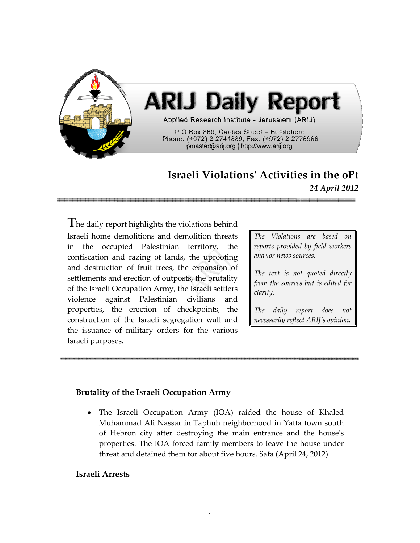

# **Israeli Violationsʹ Activities in the oPt** *24 April 2012*

**T**he daily report highlights the violations behind Israeli home demolitions and demolition threats in the occupied Palestinian territory, the confiscation and razing of lands, the uprooting and destruction of fruit trees, the expansion of settlements and erection of outposts, the brutality of the Israeli Occupation Army, the Israeli settlers violence against Palestinian civilians and properties, the erection of checkpoints, the construction of the Israeli segregation wall and the issuance of military orders for the various Israeli purposes.

*The Violations are based on reports provided by field workers and\or news sources.*

*The text is not quoted directly from the sources but is edited for clarity.*

*The daily report does not necessarily reflect ARIJ's opinion.*

#### **Brutality of the Israeli Occupation Army**

The Israeli Occupation Army (IOA) raided the house of Khaled Muhammad Ali Nassar in Taphuh neighborhood in Yatta town south of Hebron city after destroying the main entrance and the houseʹs properties. The IOA forced family members to leave the house under threat and detained them for about five hours. Safa (April 24, 2012).

#### **Israeli Arrests**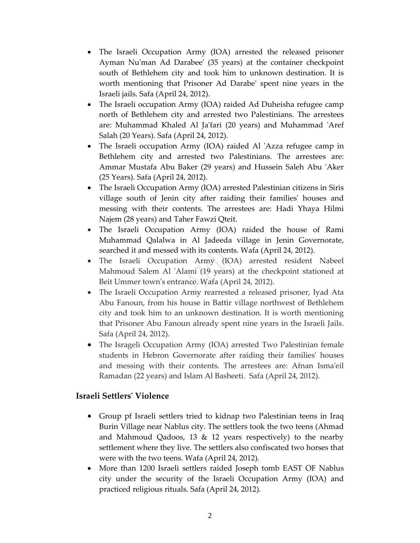- The Israeli Occupation Army (IOA) arrested the released prisoner Ayman Nu'man Ad Darabee' (35 years) at the container checkpoint south of Bethlehem city and took him to unknown destination. It is worth mentioning that Prisoner Ad Darabeʹ spent nine years in the Israeli jails. Safa (April 24, 2012).
- The Israeli occupation Army (IOA) raided Ad Duheisha refugee camp north of Bethlehem city and arrested two Palestinians. The arrestees are: Muhammad Khaled Al Ja'fari (20 years) and Muhammad 'Aref Salah (20 Years). Safa (April 24, 2012).
- The Israeli occupation Army (IOA) raided Al 'Azza refugee camp in Bethlehem city and arrested two Palestinians. The arrestees are: Ammar Mustafa Abu Baker (29 years) and Hussein Saleh Abu ʹAker (25 Years). Safa (April 24, 2012).
- The Israeli Occupation Army (IOA) arrested Palestinian citizens in Siris village south of Jenin city after raiding their familiesʹ houses and messing with their contents. The arrestees are: Hadi Yhaya Hilmi Najem (28 years) and Taher Fawzi Qteit.
- The Israeli Occupation Army (IOA) raided the house of Rami Muhammad Qalalwa in Al Jadeeda village in Jenin Governorate, searched it and messed with its contents. Wafa (April 24, 2012).
- The Israeli Occupation Army (IOA) arrested resident Nabeel Mahmoud Salem Al 'Alami (19 years) at the checkpoint stationed at Beit Ummer town's entrance. Wafa (April 24, 2012).
- The Israeli Occupation Army rearrested a released prisoner, Iyad Ata Abu Fanoun, from his house in Battir village northwest of Bethlehem city and took him to an unknown destination. It is worth mentioning that Prisoner Abu Fanoun already spent nine years in the Israeli Jails. Safa (April 24, 2012).
- The Isrageli Occupation Army (IOA) arrested Two Palestinian female students in Hebron Governorate after raiding their familiesʹ houses and messing with their contents. The arrestees are: Afnan Isma'eil Ramadan (22 years) and Islam Al Basheeti. Safa (April 24, 2012).

# **Israeli Settlersʹ Violence**

- Group pf Israeli settlers tried to kidnap two Palestinian teens in Iraq Burin Village near Nablus city. The settlers took the two teens (Ahmad and Mahmoud Qadoos, 13  $&$  12 years respectively) to the nearby settlement where they live. The settlers also confiscated two horses that were with the two teens. Wafa (April 24, 2012).
- More than 1200 Israeli settlers raided Joseph tomb EAST OF Nablus city under the security of the Israeli Occupation Army (IOA) and practiced religious rituals. Safa (April 24, 2012).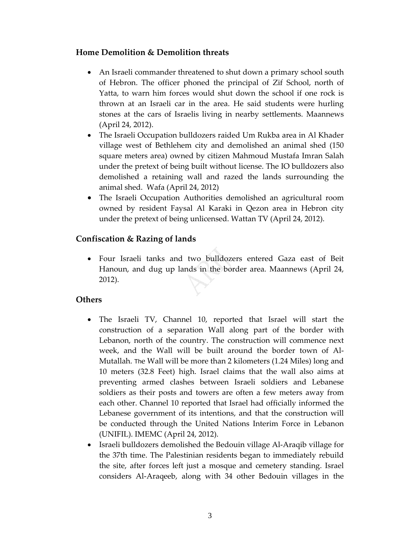### **Home Demolition & Demolition threats**

- An Israeli commander threatened to shut down a primary school south of Hebron. The officer phoned the principal of Zif School, north of Yatta, to warn him forces would shut down the school if one rock is thrown at an Israeli car in the area. He said students were hurling stones at the cars of Israelis living in nearby settlements. Maannews (April 24, 2012).
- The Israeli Occupation bulldozers raided Um Rukba area in Al Khader village west of Bethlehem city and demolished an animal shed (150 square meters area) owned by citizen Mahmoud Mustafa Imran Salah under the pretext of being built without license. The IO bulldozers also demolished a retaining wall and razed the lands surrounding the animal shed. Wafa (April 24, 2012)
- The Israeli Occupation Authorities demolished an agricultural room owned by resident Faysal Al Karaki in Qezon area in Hebron city under the pretext of being unlicensed. Wattan TV (April 24, 2012).

# **Confiscation & Razing of lands**

• Four Israeli tanks and two bulldozers entered Gaza east of Beit Hanoun, and dug up lands in the border area. Maannews (April 24, 2012).

#### **Others**

- The Israeli TV, Channel 10, reported that Israel will start the construction of a separation Wall along part of the border with Lebanon, north of the country. The construction will commence next week, and the Wall will be built around the border town of Al‐ Mutallah. The Wall will be more than 2 kilometers (1.24 Miles) long and 10 meters (32.8 Feet) high. Israel claims that the wall also aims at preventing armed clashes between Israeli soldiers and Lebanese soldiers as their posts and towers are often a few meters away from each other. Channel 10 reported that Israel had officially informed the Lebanese government of its intentions, and that the construction will be conducted through the United Nations Interim Force in Lebanon (UNIFIL). IMEMC (April 24, 2012).
- Israeli bulldozers demolished the Bedouin village Al-Araqib village for the 37th time. The Palestinian residents began to immediately rebuild the site, after forces left just a mosque and cemetery standing. Israel considers Al‐Araqeeb, along with 34 other Bedouin villages in the